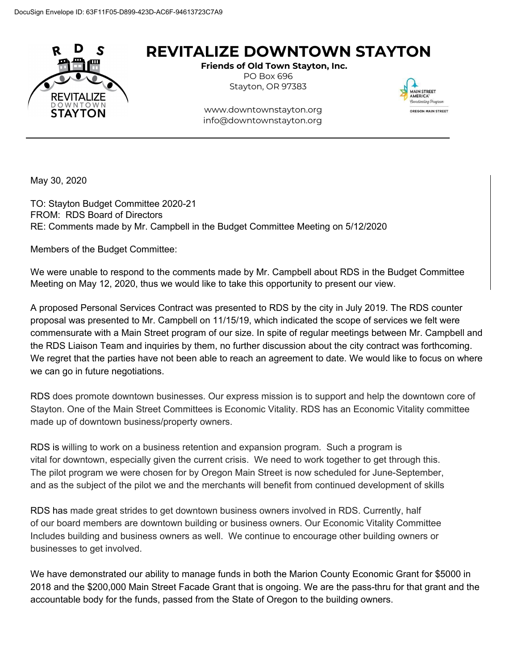

## **REVITALIZE DOWNTOWN STAYTON**

**Friends of Old Town Stayton, Inc.** PO Box 696 Stayton, OR 97383



 [www.downtownstayton.org](http://www.brownhouse.org/) info@downtownstayton.org

May 30, 2020

TO: Stayton Budget Committee 2020-21 FROM: RDS Board of Directors RE: Comments made by Mr. Campbell in the Budget Committee Meeting on 5/12/2020

Members of the Budget Committee:

We were unable to respond to the comments made by Mr. Campbell about RDS in the Budget Committee Meeting on May 12, 2020, thus we would like to take this opportunity to present our view.

A proposed Personal Services Contract was presented to RDS by the city in July 2019. The RDS counter proposal was presented to Mr. Campbell on 11/15/19, which indicated the scope of services we felt were commensurate with a Main Street program of our size. In spite of regular meetings between Mr. Campbell and the RDS Liaison Team and inquiries by them, no further discussion about the city contract was forthcoming. We regret that the parties have not been able to reach an agreement to date. We would like to focus on where we can go in future negotiations.

RDS does promote downtown businesses. Our express mission is to support and help the downtown core of Stayton. One of the Main Street Committees is Economic Vitality. RDS has an Economic Vitality committee made up of downtown business/property owners.

RDS is willing to work on a business retention and expansion program. Such a program is vital for downtown, especially given the current crisis. We need to work together to get through this. The pilot program we were chosen for by Oregon Main Street is now scheduled for June-September, and as the subject of the pilot we and the merchants will benefit from continued development of skills

RDS has made great strides to get downtown business owners involved in RDS. Currently, half of our board members are downtown building or business owners. Our Economic Vitality Committee Includes building and business owners as well. We continue to encourage other building owners or businesses to get involved.

We have demonstrated our ability to manage funds in both the Marion County Economic Grant for \$5000 in 2018 and the \$200,000 Main Street Facade Grant that is ongoing. We are the pass-thru for that grant and the accountable body for the funds, passed from the State of Oregon to the building owners.